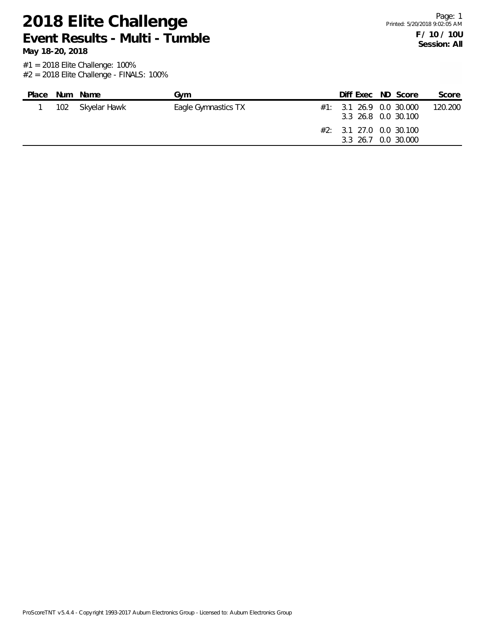**2018 Elite Challenge Event Results - Multi - Tumble**

**May 18-20, 2018**

| 102 Skyelar Hawk<br>$\#1:$ 3.1 26.9 0.0 30.000<br>Eagle Gymnastics TX<br>3.3 26.8 0.0 30.100<br>#2: 3.1 27.0 0.0 30.100<br>3.3 26.7 0.0 30.000 | Place | Num | Name | Gvm | Diff Exec ND Score |  | Score   |
|------------------------------------------------------------------------------------------------------------------------------------------------|-------|-----|------|-----|--------------------|--|---------|
|                                                                                                                                                |       |     |      |     |                    |  | 120.200 |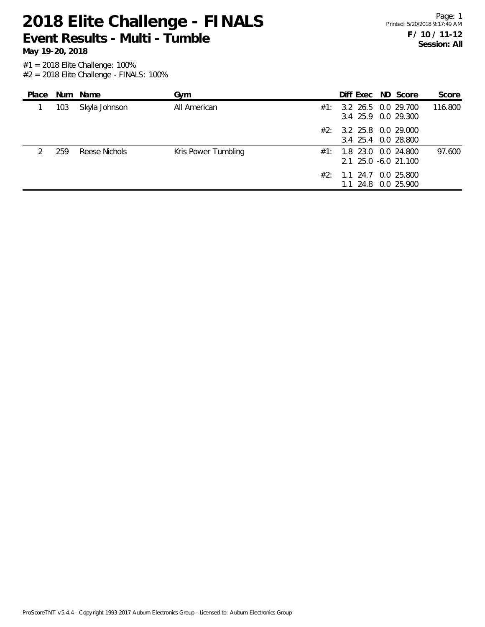**Event Results - Multi - Tumble**

#1 = 2018 Elite Challenge: 100%

 $#2 = 2018$  Elite Challenge - FINALS: 100%

| Place |     | Num Name      | Gym                 |     | Diff Exec ND Score                                  |  | Score   |
|-------|-----|---------------|---------------------|-----|-----------------------------------------------------|--|---------|
|       | 103 | Skyla Johnson | All American        | #1: | 3.2 26.5 0.0 29.700<br>3.4 25.9 0.0 29.300          |  | 116.800 |
|       |     |               |                     | #2: | 3.2 25.8 0.0 29.000<br>3.4 25.4 0.0 28.800          |  |         |
|       | 259 | Reese Nichols | Kris Power Tumbling |     | $\#1$ : 1.8 23.0 0.0 24.800<br>2.1 25.0 -6.0 21.100 |  | 97.600  |
|       |     |               |                     | #2∶ | 1.1 24.7 0.0 25.800<br>1.1 24.8 0.0 25.900          |  |         |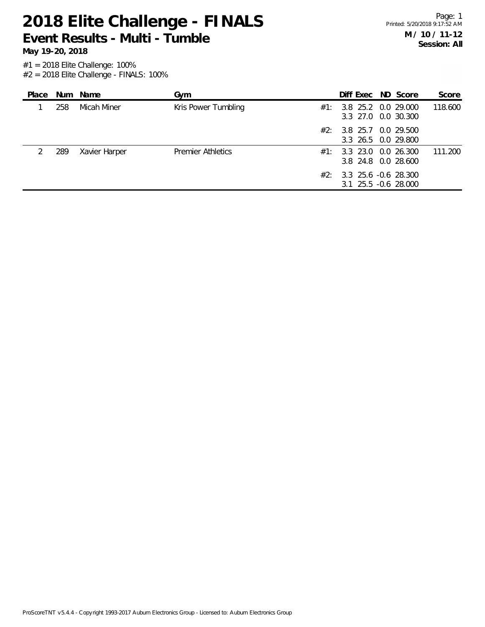**Event Results - Multi - Tumble**

**May 19-20, 2018**

| Place         |     | Num Name      | Gym                      |     | Diff Exec ND Score                                   |  | Score   |
|---------------|-----|---------------|--------------------------|-----|------------------------------------------------------|--|---------|
|               | 258 | Micah Miner   | Kris Power Tumbling      | #1: | 3.8 25.2 0.0 29.000<br>3.3 27.0 0.0 30.300           |  | 118.600 |
|               |     |               |                          |     | $\#2$ : 3.8 25.7 0.0 29.500<br>3.3 26.5 0.0 29.800   |  |         |
| $\mathcal{L}$ | 289 | Xavier Harper | <b>Premier Athletics</b> | #1: | 3.3 23.0 0.0 26.300<br>3.8 24.8 0.0 28.600           |  | 111.200 |
|               |     |               |                          |     | $\#2$ : 3.3 25.6 -0.6 28.300<br>3.1 25.5 -0.6 28.000 |  |         |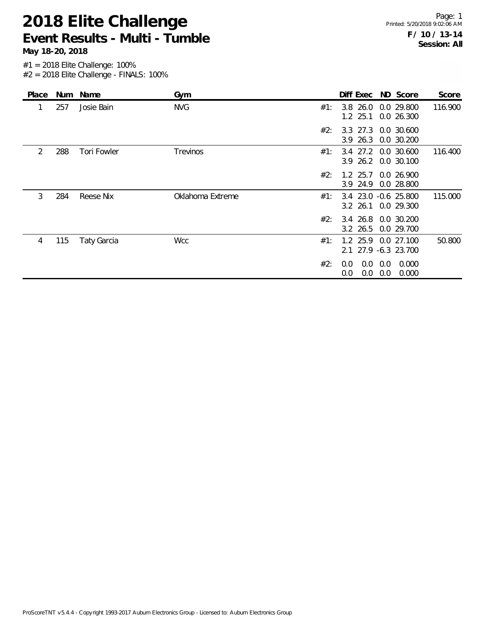**2018 Elite Challenge Event Results - Multi - Tumble**

**May 18-20, 2018**

| Place |     | Num Name           | Gym              |     | Diff Exec ND Score                 |            |                          | Score   |
|-------|-----|--------------------|------------------|-----|------------------------------------|------------|--------------------------|---------|
| 1     | 257 | Josie Bain         | <b>NVG</b>       | #1: | $3.8$ 26.0<br>$1.2$ 25.1           |            | 0.0 29.800<br>0.0 26.300 | 116.900 |
|       |     |                    |                  | #2: | $3.3$ 27.3<br>3.9 26.3             |            | 0.0 30.600<br>0.0 30.200 |         |
| 2     | 288 | Tori Fowler        | Trevinos         | #1: | 3.4 27.2<br>3.9 26.2 0.0 30.100    |            | 0.0 30.600               | 116.400 |
|       |     |                    |                  | #2: | $1.2$ 25.7<br>3.9 24.9             |            | 0.0 26.900<br>0.0 28.800 |         |
| 3     | 284 | Reese Nix          | Oklahoma Extreme | #1: | 3.4 23.0 -0.6 25.800<br>$3.2$ 26.1 |            | 0.0 29.300               | 115.000 |
|       |     |                    |                  | #2: | 3.4 26.8<br>3.2 26.5               |            | 0.0 30.200<br>0.0 29.700 |         |
| 4     | 115 | <b>Taty Garcia</b> | <b>Wcc</b>       | #1: | $1.2$ 25.9<br>2.1 27.9 -6.3 23.700 |            | 0.0 27.100               | 50.800  |
|       |     |                    |                  | #2: | 0.0<br>0.0<br>0.0<br>0.0           | 0.0<br>0.0 | 0.000<br>0.000           |         |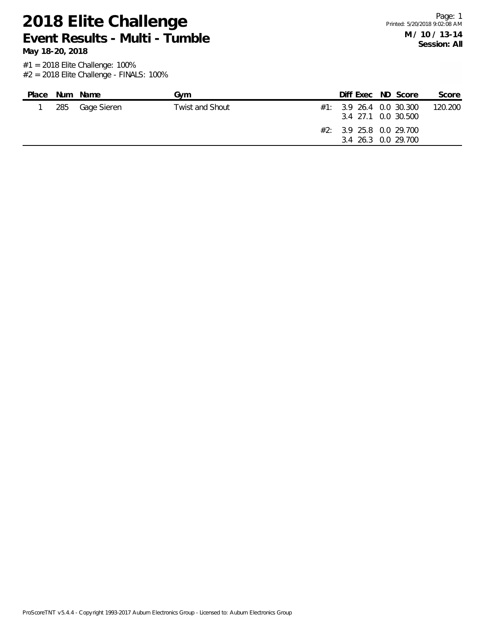**2018 Elite Challenge Event Results - Multi - Tumble**

**May 18-20, 2018**

| Place | Num Name        | Gvm             |  | Diff Exec ND Score                                                                                  | Score   |
|-------|-----------------|-----------------|--|-----------------------------------------------------------------------------------------------------|---------|
|       | 285 Gage Sieren | Twist and Shout |  | $\#1:$ 3.9 26.4 0.0 30.300<br>3.4 27.1 0.0 30.500<br>#2: 3.9 25.8 0.0 29.700<br>3.4 26.3 0.0 29.700 | 120.200 |
|       |                 |                 |  |                                                                                                     |         |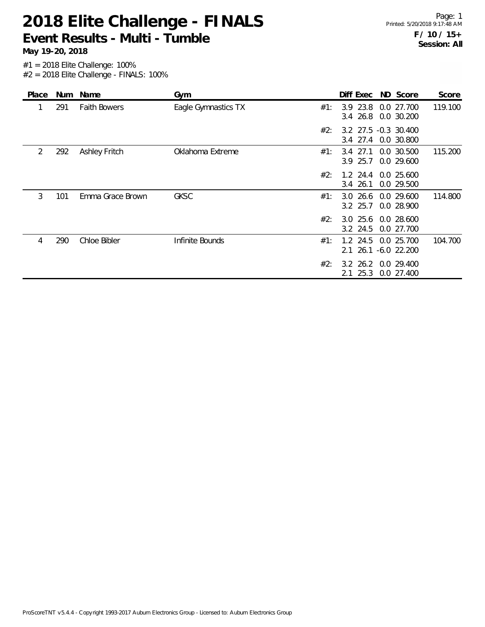**Event Results - Multi - Tumble**

| Place |     | Num Name             | Gym                 |     | Diff Exec ND Score                |                                | Score   |
|-------|-----|----------------------|---------------------|-----|-----------------------------------|--------------------------------|---------|
| 1     | 291 | <b>Faith Bowers</b>  | Eagle Gymnastics TX | #1: | 3.9 23.8<br>3.4 26.8              | 0.0 27.700<br>0.0 30.200       | 119.100 |
|       |     |                      |                     | #2: | 3.2 27.5 -0.3 30.400<br>3.4 27.4  | 0.0 30.800                     |         |
| 2     | 292 | <b>Ashley Fritch</b> | Oklahoma Extreme    | #1: | 27.1<br>3.4<br>3.9 25.7           | 0.0 30.500<br>0.0 29.600       | 115.200 |
|       |     |                      |                     | #2: | $1.2$ 24.4<br>$3.4$ 26.1          | 0.0 25.600<br>0.0 29.500       |         |
| 3     | 101 | Emma Grace Brown     | <b>GKSC</b>         | #1: | $3.0\,26.6$<br>3.2 25.7           | 0.0 29.600<br>0.0 28.900       | 114.800 |
|       |     |                      |                     | #2: | 3.0 25.6 0.0 28.600<br>$3.2$ 24.5 | 0.0 27.700                     |         |
| 4     | 290 | Chloe Bibler         | Infinite Bounds     | #1: | $1.2$ 24.5<br>2.1                 | 0.0 25.700<br>26.1 -6.0 22.200 | 104.700 |
|       |     |                      |                     | #2: | $3.2 \, 26.2$<br>25.3<br>2.1      | 0.0 29.400<br>0.0 27.400       |         |